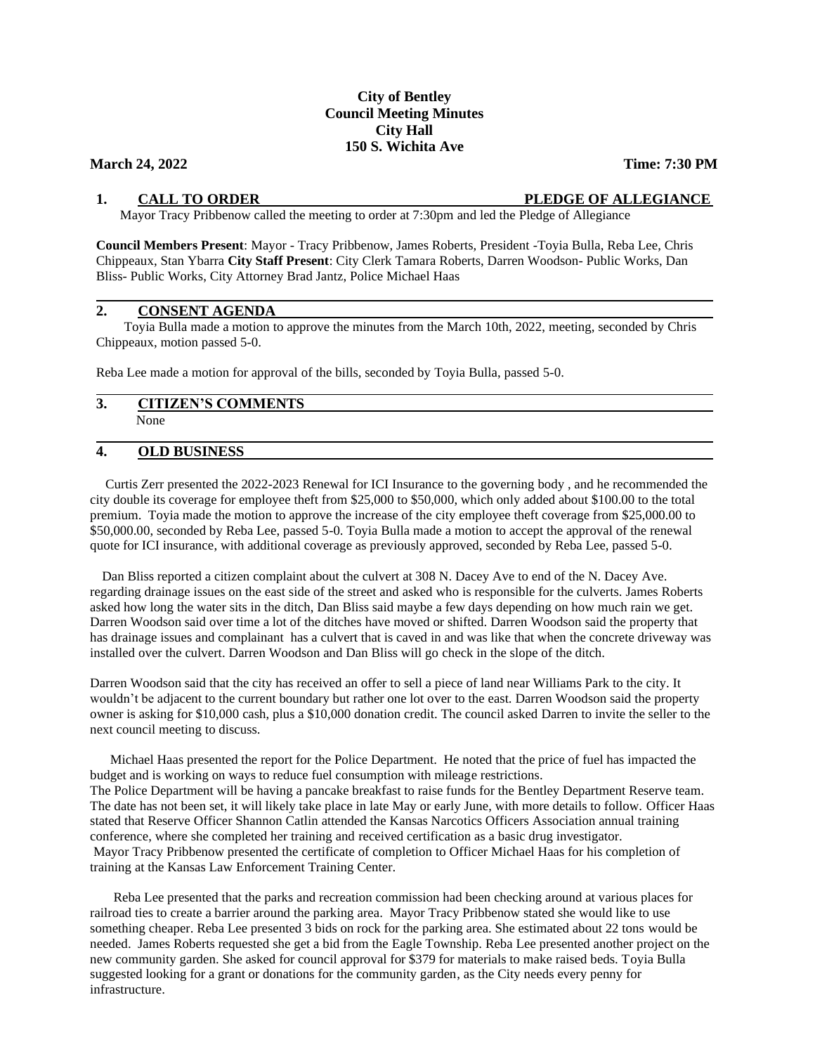# **City of Bentley Council Meeting Minutes City Hall 150 S. Wichita Ave**

## **March 24, 2022 Time: 7:30 PM**

## **1. CALL TO ORDER PLEDGE OF ALLEGIANCE**

Mayor Tracy Pribbenow called the meeting to order at 7:30pm and led the Pledge of Allegiance

**Council Members Present**: Mayor - Tracy Pribbenow, James Roberts, President -Toyia Bulla, Reba Lee, Chris Chippeaux, Stan Ybarra **City Staff Present**: City Clerk Tamara Roberts, Darren Woodson- Public Works, Dan Bliss- Public Works, City Attorney Brad Jantz, Police Michael Haas

## **2. CONSENT AGENDA**

 Toyia Bulla made a motion to approve the minutes from the March 10th, 2022, meeting, seconded by Chris Chippeaux, motion passed 5-0.

Reba Lee made a motion for approval of the bills, seconded by Toyia Bulla, passed 5-0.

#### **3. CITIZEN'S COMMENTS**  None

#### **4. OLD BUSINESS**

 Curtis Zerr presented the 2022-2023 Renewal for ICI Insurance to the governing body , and he recommended the city double its coverage for employee theft from \$25,000 to \$50,000, which only added about \$100.00 to the total premium. Toyia made the motion to approve the increase of the city employee theft coverage from \$25,000.00 to \$50,000.00, seconded by Reba Lee, passed 5-0. Toyia Bulla made a motion to accept the approval of the renewal quote for ICI insurance, with additional coverage as previously approved, seconded by Reba Lee, passed 5-0.

Dan Bliss reported a citizen complaint about the culvert at 308 N. Dacey Ave to end of the N. Dacey Ave. regarding drainage issues on the east side of the street and asked who is responsible for the culverts. James Roberts asked how long the water sits in the ditch, Dan Bliss said maybe a few days depending on how much rain we get. Darren Woodson said over time a lot of the ditches have moved or shifted. Darren Woodson said the property that has drainage issues and complainant has a culvert that is caved in and was like that when the concrete driveway was installed over the culvert. Darren Woodson and Dan Bliss will go check in the slope of the ditch.

Darren Woodson said that the city has received an offer to sell a piece of land near Williams Park to the city. It wouldn't be adjacent to the current boundary but rather one lot over to the east. Darren Woodson said the property owner is asking for \$10,000 cash, plus a \$10,000 donation credit. The council asked Darren to invite the seller to the next council meeting to discuss.

 Michael Haas presented the report for the Police Department. He noted that the price of fuel has impacted the budget and is working on ways to reduce fuel consumption with mileage restrictions. The Police Department will be having a pancake breakfast to raise funds for the Bentley Department Reserve team. The date has not been set, it will likely take place in late May or early June, with more details to follow. Officer Haas stated that Reserve Officer Shannon Catlin attended the Kansas Narcotics Officers Association annual training conference, where she completed her training and received certification as a basic drug investigator. Mayor Tracy Pribbenow presented the certificate of completion to Officer Michael Haas for his completion of training at the Kansas Law Enforcement Training Center.

 Reba Lee presented that the parks and recreation commission had been checking around at various places for railroad ties to create a barrier around the parking area. Mayor Tracy Pribbenow stated she would like to use something cheaper. Reba Lee presented 3 bids on rock for the parking area. She estimated about 22 tons would be needed. James Roberts requested she get a bid from the Eagle Township. Reba Lee presented another project on the new community garden. She asked for council approval for \$379 for materials to make raised beds. Toyia Bulla suggested looking for a grant or donations for the community garden, as the City needs every penny for infrastructure.